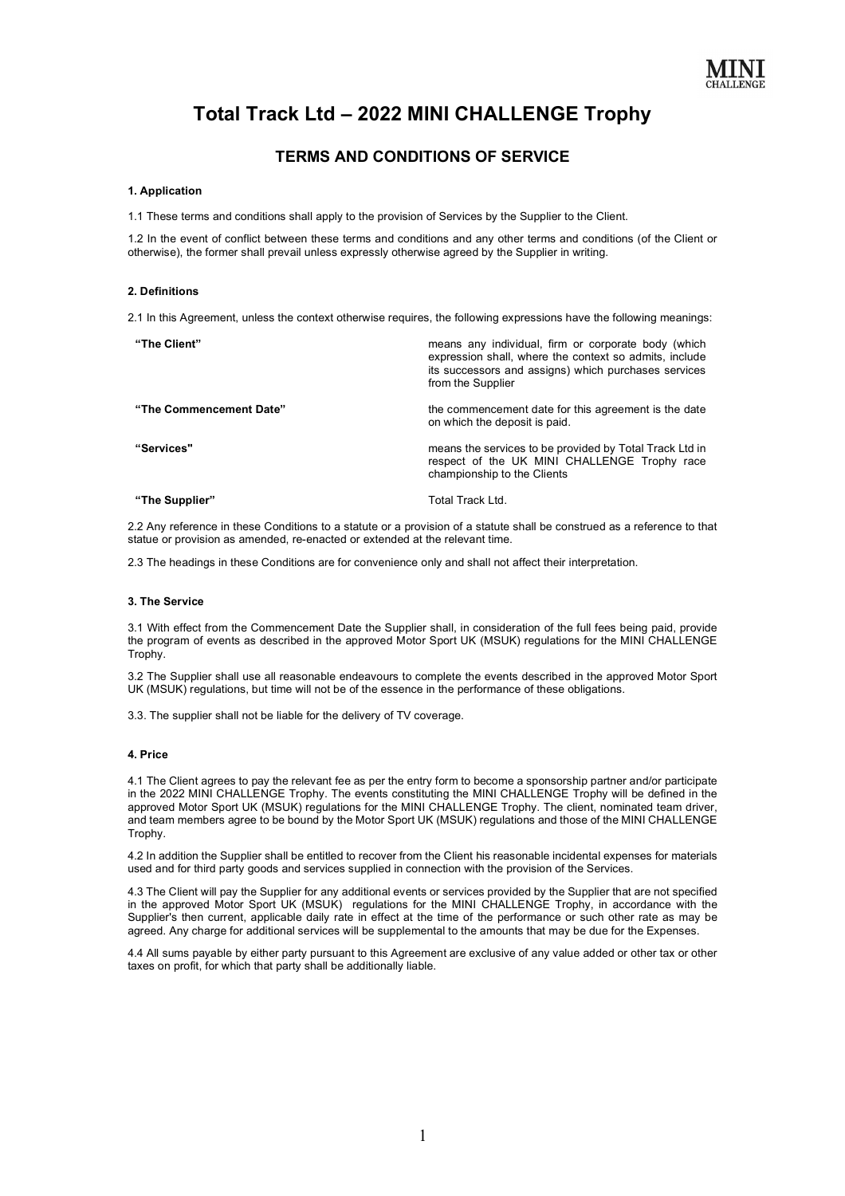

# **Total Track Ltd – 2022 MINI CHALLENGE Trophy**

# **TERMS AND CONDITIONS OF SERVICE**

### **1. Application**

1.1 These terms and conditions shall apply to the provision of Services by the Supplier to the Client.

1.2 In the event of conflict between these terms and conditions and any other terms and conditions (of the Client or otherwise), the former shall prevail unless expressly otherwise agreed by the Supplier in writing.

#### **2. Definitions**

2.1 In this Agreement, unless the context otherwise requires, the following expressions have the following meanings:

| "The Client"            | means any individual, firm or corporate body (which<br>expression shall, where the context so admits, include<br>its successors and assigns) which purchases services<br>from the Supplier |
|-------------------------|--------------------------------------------------------------------------------------------------------------------------------------------------------------------------------------------|
| "The Commencement Date" | the commencement date for this agreement is the date<br>on which the deposit is paid.                                                                                                      |
| "Services"              | means the services to be provided by Total Track Ltd in<br>respect of the UK MINI CHALLENGE Trophy race<br>championship to the Clients                                                     |
| "The Supplier"          | Total Track Ltd.                                                                                                                                                                           |

2.2 Any reference in these Conditions to a statute or a provision of a statute shall be construed as a reference to that statue or provision as amended, re-enacted or extended at the relevant time.

2.3 The headings in these Conditions are for convenience only and shall not affect their interpretation.

#### **3. The Service**

3.1 With effect from the Commencement Date the Supplier shall, in consideration of the full fees being paid, provide the program of events as described in the approved Motor Sport UK (MSUK) regulations for the MINI CHALLENGE Trophy.

3.2 The Supplier shall use all reasonable endeavours to complete the events described in the approved Motor Sport UK (MSUK) regulations, but time will not be of the essence in the performance of these obligations.

3.3. The supplier shall not be liable for the delivery of TV coverage.

# **4. Price**

4.1 The Client agrees to pay the relevant fee as per the entry form to become a sponsorship partner and/or participate in the 2022 MINI CHALLENGE Trophy. The events constituting the MINI CHALLENGE Trophy will be defined in the approved Motor Sport UK (MSUK) regulations for the MINI CHALLENGE Trophy. The client, nominated team driver, and team members agree to be bound by the Motor Sport UK (MSUK) regulations and those of the MINI CHALLENGE Trophy.

4.2 In addition the Supplier shall be entitled to recover from the Client his reasonable incidental expenses for materials used and for third party goods and services supplied in connection with the provision of the Services.

4.3 The Client will pay the Supplier for any additional events or services provided by the Supplier that are not specified in the approved Motor Sport UK (MSUK) regulations for the MINI CHALLENGE Trophy, in accordance with the Supplier's then current, applicable daily rate in effect at the time of the performance or such other rate as may be agreed. Any charge for additional services will be supplemental to the amounts that may be due for the Expenses.

4.4 All sums payable by either party pursuant to this Agreement are exclusive of any value added or other tax or other taxes on profit, for which that party shall be additionally liable.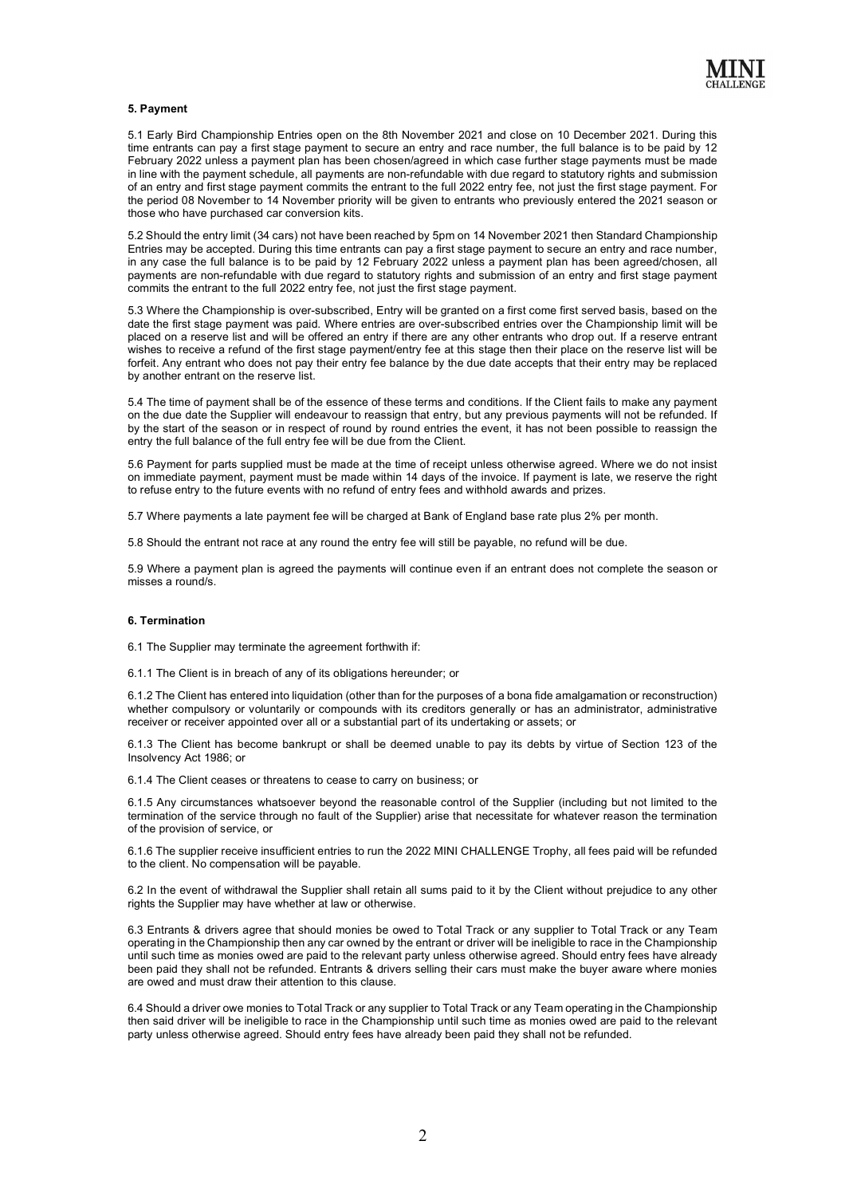

#### **5. Payment**

5.1 Early Bird Championship Entries open on the 8th November 2021 and close on 10 December 2021. During this time entrants can pay a first stage payment to secure an entry and race number, the full balance is to be paid by 12 February 2022 unless a payment plan has been chosen/agreed in which case further stage payments must be made in line with the payment schedule, all payments are non-refundable with due regard to statutory rights and submission of an entry and first stage payment commits the entrant to the full 2022 entry fee, not just the first stage payment. For the period 08 November to 14 November priority will be given to entrants who previously entered the 2021 season or those who have purchased car conversion kits.

5.2 Should the entry limit (34 cars) not have been reached by 5pm on 14 November 2021 then Standard Championship Entries may be accepted. During this time entrants can pay a first stage payment to secure an entry and race number, in any case the full balance is to be paid by 12 February 2022 unless a payment plan has been agreed/chosen, all payments are non-refundable with due regard to statutory rights and submission of an entry and first stage payment commits the entrant to the full 2022 entry fee, not just the first stage payment.

5.3 Where the Championship is over-subscribed, Entry will be granted on a first come first served basis, based on the date the first stage payment was paid. Where entries are over-subscribed entries over the Championship limit will be placed on a reserve list and will be offered an entry if there are any other entrants who drop out. If a reserve entrant wishes to receive a refund of the first stage payment/entry fee at this stage then their place on the reserve list will be forfeit. Any entrant who does not pay their entry fee balance by the due date accepts that their entry may be replaced by another entrant on the reserve list.

5.4 The time of payment shall be of the essence of these terms and conditions. If the Client fails to make any payment on the due date the Supplier will endeavour to reassign that entry, but any previous payments will not be refunded. If by the start of the season or in respect of round by round entries the event, it has not been possible to reassign the entry the full balance of the full entry fee will be due from the Client.

5.6 Payment for parts supplied must be made at the time of receipt unless otherwise agreed. Where we do not insist on immediate payment, payment must be made within 14 days of the invoice. If payment is late, we reserve the right to refuse entry to the future events with no refund of entry fees and withhold awards and prizes.

5.7 Where payments a late payment fee will be charged at Bank of England base rate plus 2% per month.

5.8 Should the entrant not race at any round the entry fee will still be payable, no refund will be due.

5.9 Where a payment plan is agreed the payments will continue even if an entrant does not complete the season or misses a round/s.

# **6. Termination**

6.1 The Supplier may terminate the agreement forthwith if:

6.1.1 The Client is in breach of any of its obligations hereunder; or

6.1.2 The Client has entered into liquidation (other than for the purposes of a bona fide amalgamation or reconstruction) whether compulsory or voluntarily or compounds with its creditors generally or has an administrator, administrative receiver or receiver appointed over all or a substantial part of its undertaking or assets; or

6.1.3 The Client has become bankrupt or shall be deemed unable to pay its debts by virtue of Section 123 of the Insolvency Act 1986; or

6.1.4 The Client ceases or threatens to cease to carry on business; or

6.1.5 Any circumstances whatsoever beyond the reasonable control of the Supplier (including but not limited to the termination of the service through no fault of the Supplier) arise that necessitate for whatever reason the termination of the provision of service, or

6.1.6 The supplier receive insufficient entries to run the 2022 MINI CHALLENGE Trophy, all fees paid will be refunded to the client. No compensation will be payable.

6.2 In the event of withdrawal the Supplier shall retain all sums paid to it by the Client without prejudice to any other rights the Supplier may have whether at law or otherwise.

6.3 Entrants & drivers agree that should monies be owed to Total Track or any supplier to Total Track or any Team operating in the Championship then any car owned by the entrant or driver will be ineligible to race in the Championship until such time as monies owed are paid to the relevant party unless otherwise agreed. Should entry fees have already been paid they shall not be refunded. Entrants & drivers selling their cars must make the buyer aware where monies are owed and must draw their attention to this clause.

6.4 Should a driver owe monies to Total Track or any supplier to Total Track or any Team operating in the Championship then said driver will be ineligible to race in the Championship until such time as monies owed are paid to the relevant party unless otherwise agreed. Should entry fees have already been paid they shall not be refunded.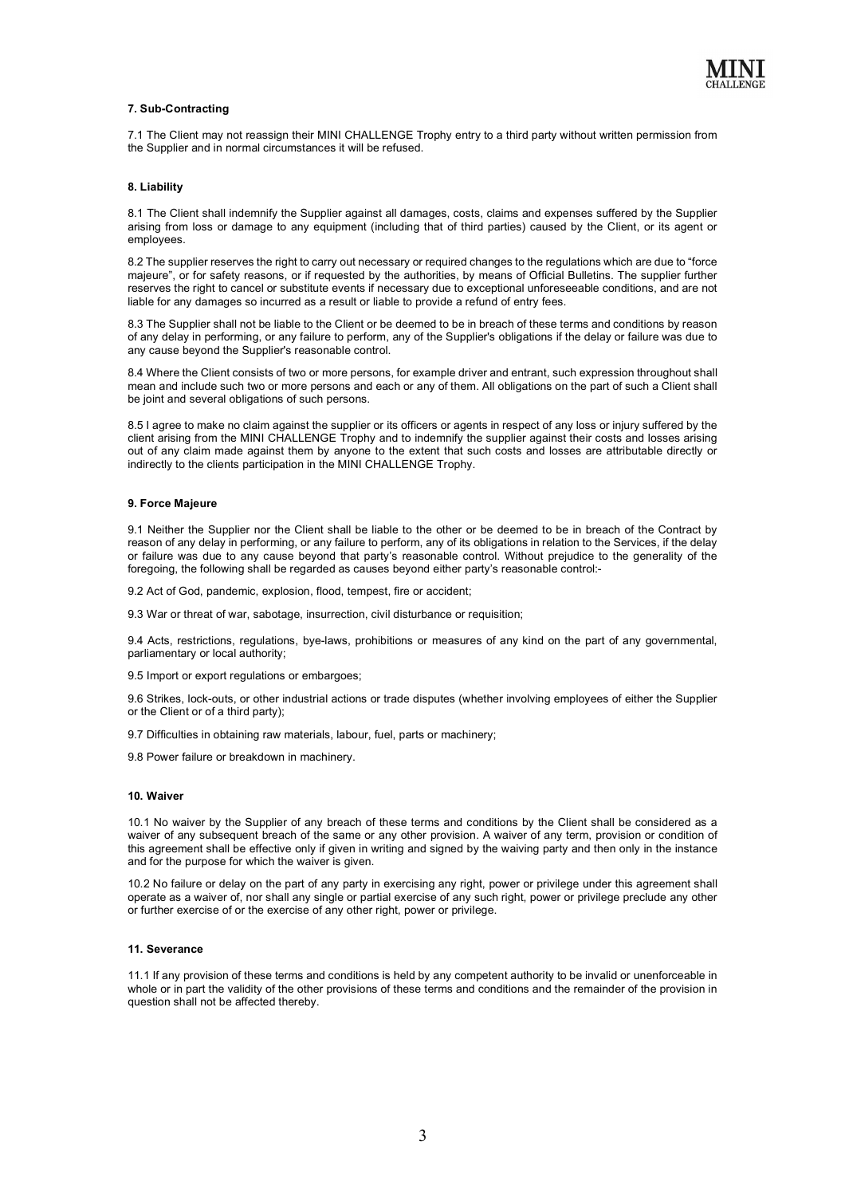

# **7. Sub-Contracting**

7.1 The Client may not reassign their MINI CHALLENGE Trophy entry to a third party without written permission from the Supplier and in normal circumstances it will be refused.

#### **8. Liability**

8.1 The Client shall indemnify the Supplier against all damages, costs, claims and expenses suffered by the Supplier arising from loss or damage to any equipment (including that of third parties) caused by the Client, or its agent or employees.

8.2 The supplier reserves the right to carry out necessary or required changes to the regulations which are due to "force majeure", or for safety reasons, or if requested by the authorities, by means of Official Bulletins. The supplier further reserves the right to cancel or substitute events if necessary due to exceptional unforeseeable conditions, and are not liable for any damages so incurred as a result or liable to provide a refund of entry fees.

8.3 The Supplier shall not be liable to the Client or be deemed to be in breach of these terms and conditions by reason of any delay in performing, or any failure to perform, any of the Supplier's obligations if the delay or failure was due to any cause beyond the Supplier's reasonable control.

8.4 Where the Client consists of two or more persons, for example driver and entrant, such expression throughout shall mean and include such two or more persons and each or any of them. All obligations on the part of such a Client shall be joint and several obligations of such persons.

8.5 I agree to make no claim against the supplier or its officers or agents in respect of any loss or injury suffered by the client arising from the MINI CHALLENGE Trophy and to indemnify the supplier against their costs and losses arising out of any claim made against them by anyone to the extent that such costs and losses are attributable directly or indirectly to the clients participation in the MINI CHALLENGE Trophy.

#### **9. Force Majeure**

9.1 Neither the Supplier nor the Client shall be liable to the other or be deemed to be in breach of the Contract by reason of any delay in performing, or any failure to perform, any of its obligations in relation to the Services, if the delay or failure was due to any cause beyond that party's reasonable control. Without prejudice to the generality of the foregoing, the following shall be regarded as causes beyond either party's reasonable control:-

9.2 Act of God, pandemic, explosion, flood, tempest, fire or accident;

9.3 War or threat of war, sabotage, insurrection, civil disturbance or requisition;

9.4 Acts, restrictions, regulations, bye-laws, prohibitions or measures of any kind on the part of any governmental, parliamentary or local authority;

9.5 Import or export regulations or embargoes;

9.6 Strikes, lock-outs, or other industrial actions or trade disputes (whether involving employees of either the Supplier or the Client or of a third party);

9.7 Difficulties in obtaining raw materials, labour, fuel, parts or machinery;

9.8 Power failure or breakdown in machinery.

#### **10. Waiver**

10.1 No waiver by the Supplier of any breach of these terms and conditions by the Client shall be considered as a waiver of any subsequent breach of the same or any other provision. A waiver of any term, provision or condition of this agreement shall be effective only if given in writing and signed by the waiving party and then only in the instance and for the purpose for which the waiver is given.

10.2 No failure or delay on the part of any party in exercising any right, power or privilege under this agreement shall operate as a waiver of, nor shall any single or partial exercise of any such right, power or privilege preclude any other or further exercise of or the exercise of any other right, power or privilege.

#### **11. Severance**

11.1 If any provision of these terms and conditions is held by any competent authority to be invalid or unenforceable in whole or in part the validity of the other provisions of these terms and conditions and the remainder of the provision in question shall not be affected thereby.